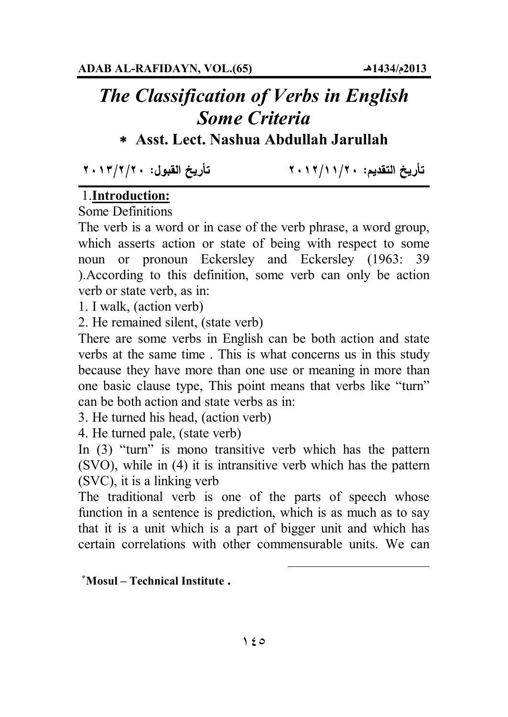## *The Classification of Verbs in English Some Criteria*

## **Asst. Lect. Nashua Abdullah Jarullah**

تأريخ القبول: ٢٠١٣/٢/٢٠

تأريخ التقديم: ١٢/١١/٢٠١٢

## 1.**Introduction:**

Some Definitions

The verb is a word or in case of the verb phrase, a word group, which asserts action or state of being with respect to some noun or pronoun Eckersley and Eckersley (1963: 39 ).According to this definition, some verb can only be action verb or state verb, as in:

1. I walk, (action verb)

2. He remained silent, (state verb)

There are some verbs in English can be both action and state verbs at the same time . This is what concerns us in this study because they have more than one use or meaning in more than one basic clause type, This point means that verbs like "turn" can be both action and state verbs as in:

3. He turned his head, (action verb)

4. He turned pale, (state verb)

In (3) "turn" is mono transitive verb which has the pattern (SVO), while in (4) it is intransitive verb which has the pattern (SVC), it is a linking verb

The traditional verb is one of the parts of speech whose function in a sentence is prediction, which is as much as to say that it is a unit which is a part of bigger unit and which has certain correlations with other commensurable units. We can

 $\overline{a}$ 

**Mosul – Technical Institute .**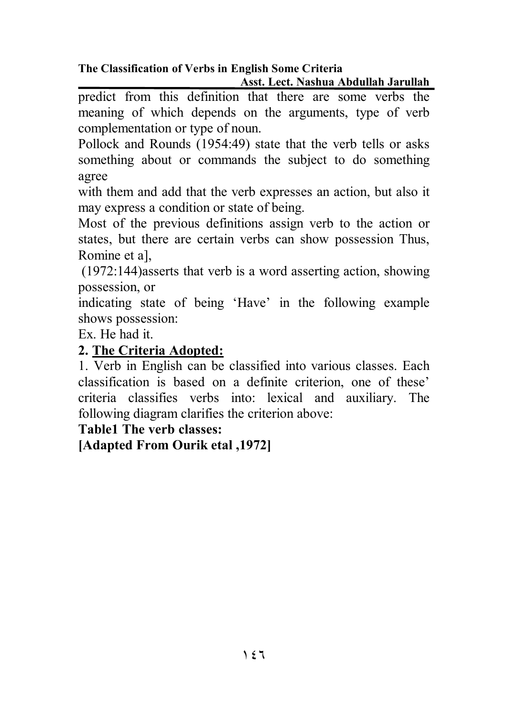predict from this definition that there are some verbs the meaning of which depends on the arguments, type of verb complementation or type of noun.

Pollock and Rounds (1954:49) state that the verb tells or asks something about or commands the subject to do something agree

with them and add that the verb expresses an action, but also it may express a condition or state of being.

Most of the previous definitions assign verb to the action or states, but there are certain verbs can show possession Thus, Romine et a],

 (1972:144)asserts that verb is a word asserting action, showing possession, or

indicating state of being 'Have' in the following example shows possession:

Ex. He had it.

## **2. The Criteria Adopted:**

1. Verb in English can be classified into various classes. Each classification is based on a definite criterion, one of these' criteria classifies verbs into: lexical and auxiliary. The following diagram clarifies the criterion above:

**Table1 The verb classes:** 

**[Adapted From Ourik etal ,1972]**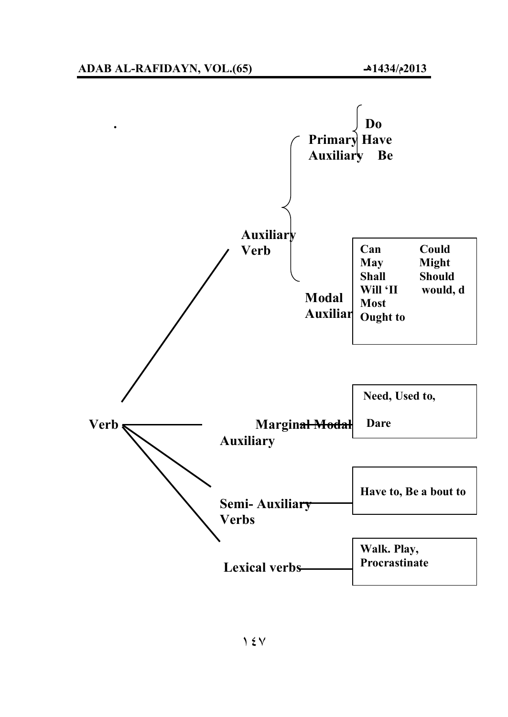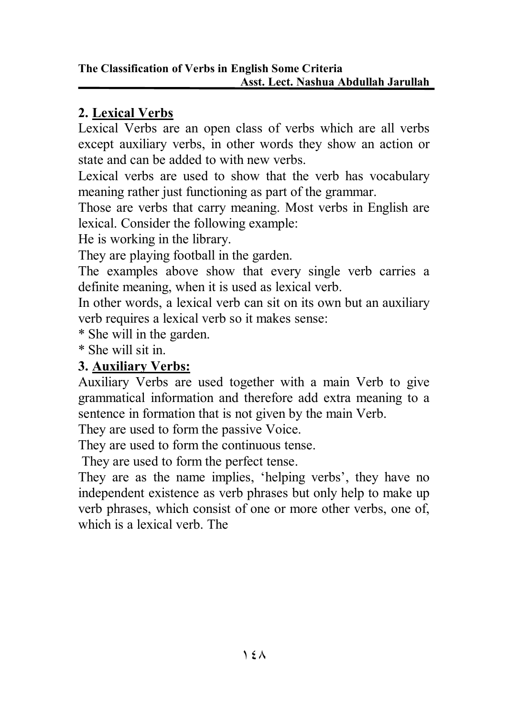## **2. Lexical Verbs**

Lexical Verbs are an open class of verbs which are all verbs except auxiliary verbs, in other words they show an action or state and can be added to with new verbs.

Lexical verbs are used to show that the verb has vocabulary meaning rather just functioning as part of the grammar.

Those are verbs that carry meaning. Most verbs in English are lexical. Consider the following example:

He is working in the library.

They are playing football in the garden.

The examples above show that every single verb carries a definite meaning, when it is used as lexical verb.

In other words, a lexical verb can sit on its own but an auxiliary verb requires a lexical verb so it makes sense:

\* She will in the garden.

\* She will sit in.

## **3. Auxiliary Verbs:**

Auxiliary Verbs are used together with a main Verb to give grammatical information and therefore add extra meaning to a sentence in formation that is not given by the main Verb.

They are used to form the passive Voice.

They are used to form the continuous tense.

They are used to form the perfect tense.

They are as the name implies, 'helping verbs', they have no independent existence as verb phrases but only help to make up verb phrases, which consist of one or more other verbs, one of, which is a lexical verb. The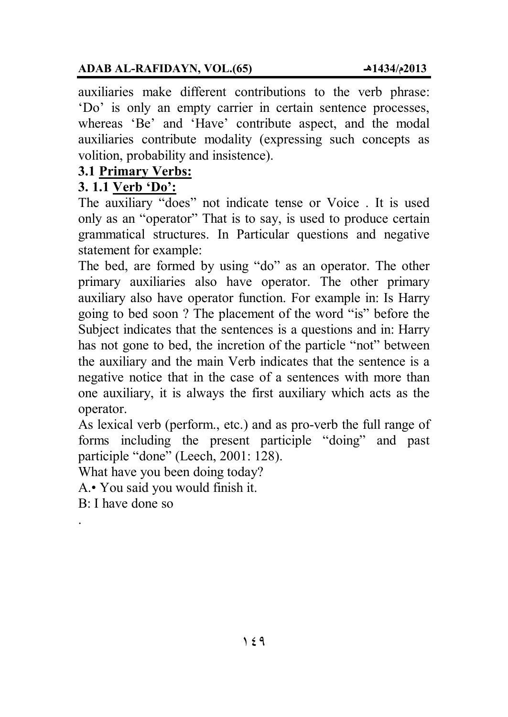#### **ADAB AL-RAFIDAYN, VOL.(65) ھـ1434/م2013**

auxiliaries make different contributions to the verb phrase: 'Do' is only an empty carrier in certain sentence processes, whereas 'Be' and 'Have' contribute aspect, and the modal auxiliaries contribute modality (expressing such concepts as volition, probability and insistence).

#### **3.1 Primary Verbs:**

#### **3. 1.1 Verb 'Do':**

The auxiliary "does" not indicate tense or Voice . It is used only as an "operator" That is to say, is used to produce certain grammatical structures. In Particular questions and negative statement for example:

The bed, are formed by using "do" as an operator. The other primary auxiliaries also have operator. The other primary auxiliary also have operator function. For example in: Is Harry going to bed soon ? The placement of the word "is" before the Subject indicates that the sentences is a questions and in: Harry has not gone to bed, the incretion of the particle "not" between the auxiliary and the main Verb indicates that the sentence is a negative notice that in the case of a sentences with more than one auxiliary, it is always the first auxiliary which acts as the operator.

As lexical verb (perform., etc.) and as pro-verb the full range of forms including the present participle "doing" and past participle "done" (Leech, 2001: 128).

What have you been doing today?

A.• You said you would finish it.

B: I have done so

.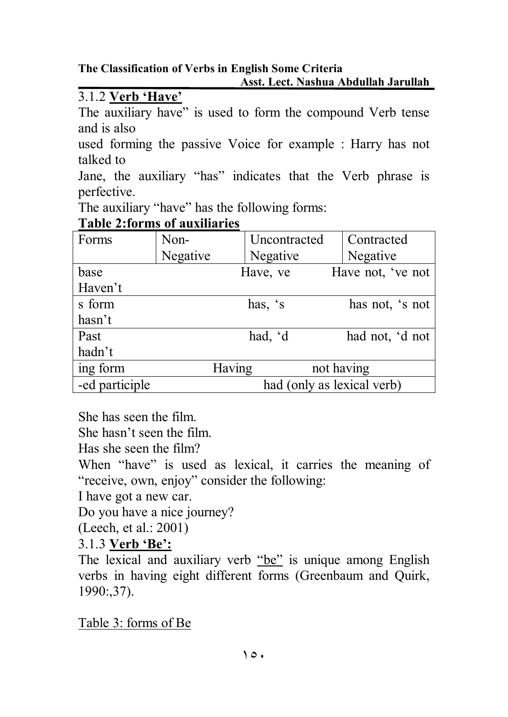**The Classification of Verbs in English Some Criteria Asst. Lect. Nashua Abdullah Jarullah** 

## 3.1.2 **Verb 'Have'**

The auxiliary have" is used to form the compound Verb tense and is also

used forming the passive Voice for example : Harry has not talked to

Jane, the auxiliary "has" indicates that the Verb phrase is perfective.

The auxiliary "have" has the following forms:

| Forms          | Non-     | Uncontracted               | Contracted        |  |
|----------------|----------|----------------------------|-------------------|--|
|                | Negative | Negative                   | Negative          |  |
| base           |          | Have, ve                   | Have not, 've not |  |
| Haven't        |          |                            |                   |  |
| s form         |          | has, 's                    | has not, 's not   |  |
| hasn't         |          |                            |                   |  |
| Past           |          | had, 'd                    | had not, 'd not   |  |
| hadn't         |          |                            |                   |  |
| ing form       | Having   |                            | not having        |  |
| -ed participle |          | had (only as lexical verb) |                   |  |

#### **Table 2:forms of auxiliaries**

She has seen the film.

She hasn't seen the film.

Has she seen the film?

When "have" is used as lexical, it carries the meaning of "receive, own, enjoy" consider the following:

I have got a new car.

Do you have a nice journey?

(Leech, et al.: 2001)

3.1.3 **Verb 'Be':**

The lexical and auxiliary verb "be" is unique among English verbs in having eight different forms (Greenbaum and Quirk, 1990:,37).

Table 3: forms of Be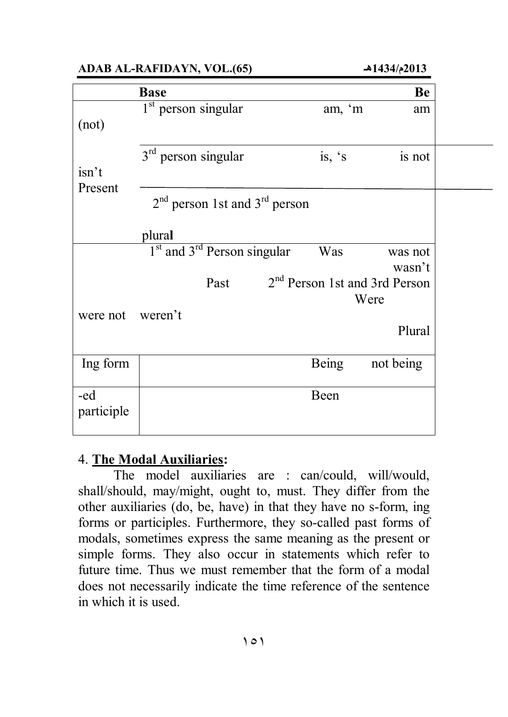**ADAB AL-RAFIDAYN, VOL.(65) ھـ1434/م2013** 

|                  | <b>Base</b>                                         |                                           | Be        |
|------------------|-----------------------------------------------------|-------------------------------------------|-----------|
|                  | $1st$ person singular                               | am, 'm                                    | am        |
| (not)            |                                                     |                                           |           |
|                  |                                                     |                                           |           |
|                  | $3rd$ person singular                               | is, $\dot{s}$                             | is not    |
| isn't<br>Present |                                                     |                                           |           |
|                  | $2nd$ person 1st and $3rd$ person                   |                                           |           |
|                  |                                                     |                                           |           |
|                  | plural                                              |                                           |           |
|                  | 1 <sup>st</sup> and 3 <sup>rd</sup> Person singular | Was                                       | was not   |
|                  |                                                     |                                           | wasn't    |
|                  | Past                                                | 2 <sup>nd</sup> Person 1st and 3rd Person |           |
| were not weren't |                                                     |                                           | Were      |
|                  |                                                     |                                           | Plural    |
|                  |                                                     |                                           |           |
| Ing form         |                                                     | <b>Being</b>                              | not being |
|                  |                                                     |                                           |           |
| -ed              |                                                     | Been                                      |           |
| participle       |                                                     |                                           |           |
|                  |                                                     |                                           |           |

#### 4. **The Modal Auxiliaries:**

The model auxiliaries are : can/could, will/would, shall/should, may/might, ought to, must. They differ from the other auxiliaries (do, be, have) in that they have no s-form, ing forms or participles. Furthermore, they so-called past forms of modals, sometimes express the same meaning as the present or simple forms. They also occur in statements which refer to future time. Thus we must remember that the form of a modal does not necessarily indicate the time reference of the sentence in which it is used.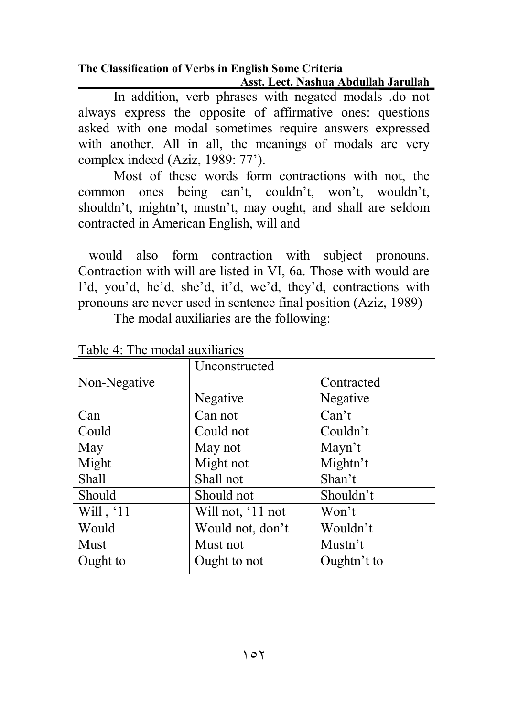In addition, verb phrases with negated modals .do not always express the opposite of affirmative ones: questions asked with one modal sometimes require answers expressed with another. All in all, the meanings of modals are very complex indeed (Aziz, 1989: 77').

Most of these words form contractions with not, the common ones being can't, couldn't, won't, wouldn't, shouldn't, mightn't, mustn't, may ought, and shall are seldom contracted in American English, will and

 would also form contraction with subject pronouns. Contraction with will are listed in VI, 6a. Those with would are I'd, you'd, he'd, she'd, it'd, we'd, they'd, contractions with pronouns are never used in sentence final position (Aziz, 1989)

| Table 4. The modal auxiliaries |                   |             |  |
|--------------------------------|-------------------|-------------|--|
|                                | Unconstructed     |             |  |
| Non-Negative                   |                   | Contracted  |  |
|                                | Negative          | Negative    |  |
| Can                            | Can not           | Can't       |  |
| Could                          | Could not         | Couldn't    |  |
| May                            | May not           | Mayn't      |  |
| Might                          | Might not         | Mightn't    |  |
| Shall                          | Shall not         | Shan't      |  |
| Should                         | Should not        | Shouldn't   |  |
| Will, '11                      | Will not, '11 not | Won't       |  |
| Would                          | Would not, don't  | Wouldn't    |  |
| <b>Must</b>                    | Must not          | Mustn't     |  |
| Ought to                       | Ought to not      | Oughtn't to |  |

The modal auxiliaries are the following:

Table 4: The modal auxiliaries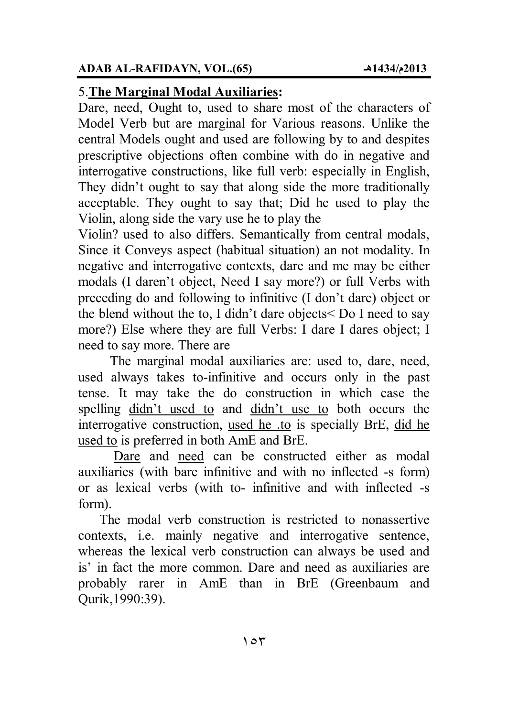## 5.**The Marginal Modal Auxiliaries:**

Dare, need, Ought to, used to share most of the characters of Model Verb but are marginal for Various reasons. Unlike the central Models ought and used are following by to and despites prescriptive objections often combine with do in negative and interrogative constructions, like full verb: especially in English, They didn't ought to say that along side the more traditionally acceptable. They ought to say that; Did he used to play the Violin, along side the vary use he to play the

Violin? used to also differs. Semantically from central modals, Since it Conveys aspect (habitual situation) an not modality. In negative and interrogative contexts, dare and me may be either modals (I daren't object, Need I say more?) or full Verbs with preceding do and following to infinitive (I don't dare) object or the blend without the to, I didn't dare objects< Do I need to say more?) Else where they are full Verbs: I dare I dares object; I need to say more. There are

 The marginal modal auxiliaries are: used to, dare, need, used always takes to-infinitive and occurs only in the past tense. It may take the do construction in which case the spelling didn't used to and didn't use to both occurs the interrogative construction, used he .to is specially BrE, did he used to is preferred in both AmE and BrE.

Dare and need can be constructed either as modal auxiliaries (with bare infinitive and with no inflected -s form) or as lexical verbs (with to- infinitive and with inflected -s form).

 The modal verb construction is restricted to nonassertive contexts, i.e. mainly negative and interrogative sentence, whereas the lexical verb construction can always be used and is' in fact the more common. Dare and need as auxiliaries are probably rarer in AmE than in BrE (Greenbaum and Qurik,1990:39).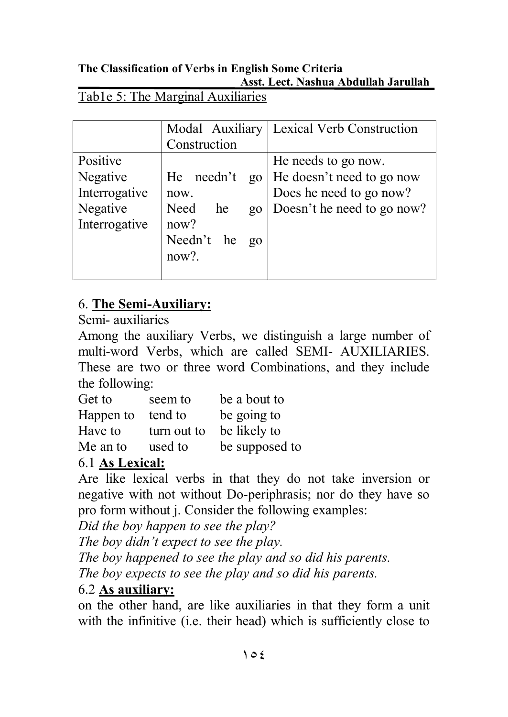### Tab1e 5: The Marginal Auxiliaries

|               | Modal Auxiliary     | <b>Lexical Verb Construction</b> |
|---------------|---------------------|----------------------------------|
|               | Construction        |                                  |
| Positive      |                     | He needs to go now.              |
| Negative      | He needn't<br>$g_0$ | He doesn't need to go now        |
| Interrogative | now.                | Does he need to go now?          |
| Negative      | Need<br>he<br>$g_0$ | Doesn't he need to go now?       |
| Interrogative | now?                |                                  |
|               | Needn't he<br>$g_0$ |                                  |
|               | $now?$ .            |                                  |
|               |                     |                                  |

## 6. **The Semi-Auxiliary:**

Semi- auxiliaries

Among the auxiliary Verbs, we distinguish a large number of multi-word Verbs, which are called SEMI- AUXILIARIES. These are two or three word Combinations, and they include the following:

| Get to    | seem to     | be a bout to   |
|-----------|-------------|----------------|
| Happen to | tend to     | be going to    |
| Have to   | turn out to | be likely to   |
| Me an to  | used to     | be supposed to |

## 6.1 **As Lexical:**

Are like lexical verbs in that they do not take inversion or negative with not without Do-periphrasis; nor do they have so pro form without j. Consider the following examples:

*Did the boy happen to see the play?*

*The boy didn't expect to see the play.*

*The boy happened to see the play and so did his parents.* 

*The boy expects to see the play and so did his parents.*

## 6.2 **As auxiliary:**

on the other hand, are like auxiliaries in that they form a unit with the infinitive (i.e. their head) which is sufficiently close to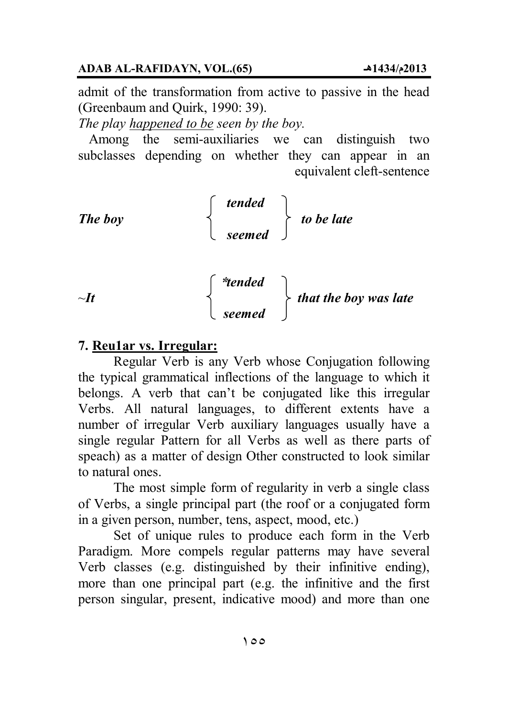admit of the transformation from active to passive in the head (Greenbaum and Quirk, 1990: 39).

*The play happened to be seen by the boy.* 

 Among the semi-auxiliaries we can distinguish two subclasses depending on whether they can appear in an equivalent cleft-sentence

The boy  
\n
$$
\begin{cases}\n\text{tended} \\
\text{seemed}\n\end{cases}\n\quad to be late\n
$$
\begin{cases}\n\text{*tended} \\
\text{that the boy was late}\n\end{cases}
$$
$$

#### **7. Reu1ar vs. Irregular:**

Regular Verb is any Verb whose Conjugation following the typical grammatical inflections of the language to which it belongs. A verb that can't be conjugated like this irregular Verbs. All natural languages, to different extents have a number of irregular Verb auxiliary languages usually have a single regular Pattern for all Verbs as well as there parts of speach) as a matter of design Other constructed to look similar to natural ones.

 *seemed* 

The most simple form of regularity in verb a single class of Verbs, a single principal part (the roof or a conjugated form in a given person, number, tens, aspect, mood, etc.)

Set of unique rules to produce each form in the Verb Paradigm. More compels regular patterns may have several Verb classes (e.g. distinguished by their infinitive ending), more than one principal part (e.g. the infinitive and the first person singular, present, indicative mood) and more than one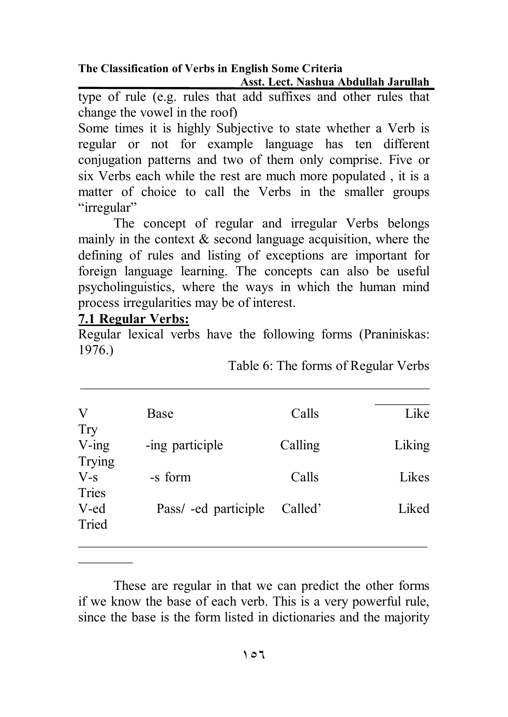type of rule (e.g. rules that add suffixes and other rules that change the vowel in the roof)

Some times it is highly Subjective to state whether a Verb is regular or not for example language has ten different conjugation patterns and two of them only comprise. Five or six Verbs each while the rest are much more populated , it is a matter of choice to call the Verbs in the smaller groups "irregular"

The concept of regular and irregular Verbs belongs mainly in the context  $\&$  second language acquisition, where the defining of rules and listing of exceptions are important for foreign language learning. The concepts can also be useful psycholinguistics, where the ways in which the human mind process irregularities may be of interest.

#### **7.1 Regular Verbs:**

 $\overline{\phantom{a}}$   $\overline{\phantom{a}}$ 

Regular lexical verbs have the following forms (Praniniskas: 1976.)

Table 6: The forms of Regular Verbs

| V<br>Try           | Base                 | Calls   | Like   |
|--------------------|----------------------|---------|--------|
| $V$ -ing<br>Trying | -ing participle      | Calling | Liking |
| $V-S$<br>Tries     | -s form              | Calls   | Likes  |
| V-ed<br>Tried      | Pass/ -ed participle | Called' | Liked  |
|                    |                      |         |        |

 These are regular in that we can predict the other forms if we know the base of each verb. This is a very powerful rule, since the base is the form listed in dictionaries and the majority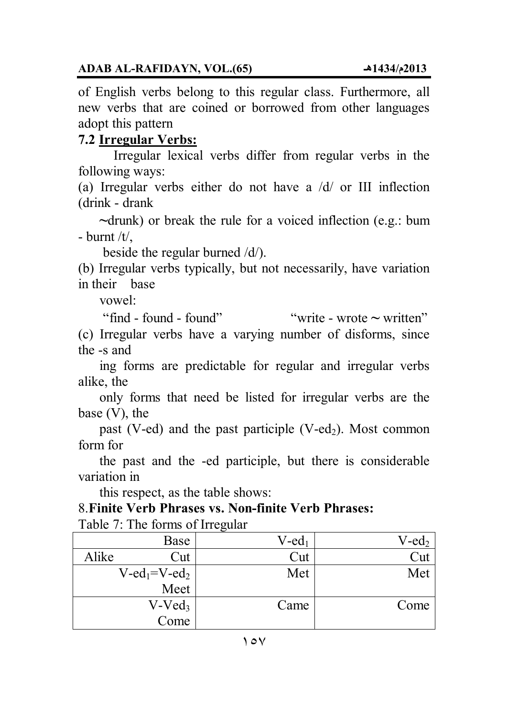of English verbs belong to this regular class. Furthermore, all new verbs that are coined or borrowed from other languages adopt this pattern

## **7.2 Irregular Verbs:**

Irregular lexical verbs differ from regular verbs in the following ways:

(a) Irregular verbs either do not have a /d/ or III inflection (drink - drank

 **~**drunk) or break the rule for a voiced inflection (e.g.: bum - burnt  $/t$ .

beside the regular burned /d/).

(b) Irregular verbs typically, but not necessarily, have variation in their base

vowel:

"find - found - found" "write - wrote **~** written"

(c) Irregular verbs have a varying number of disforms, since the -s and

 ing forms are predictable for regular and irregular verbs alike, the

 only forms that need be listed for irregular verbs are the base (V), the

past (V-ed) and the past participle (V-ed<sub>2</sub>). Most common form for

 the past and the -ed participle, but there is considerable variation in

this respect, as the table shows:

#### 8.**Finite Verb Phrases vs. Non-finite Verb Phrases:**

Table 7: The forms of Irregular

|       | Base                                    | $V$ -ed <sub>1</sub> | $V$ -ed <sub>2</sub> |
|-------|-----------------------------------------|----------------------|----------------------|
| Alike | Cut                                     | ∠`ut                 | `ut                  |
|       | $V$ -ed <sub>1</sub> =V-ed <sub>2</sub> | Met                  | Met                  |
|       | Meet                                    |                      |                      |
|       | $V- Ved_3$                              | Came                 | Come                 |
|       | Come                                    |                      |                      |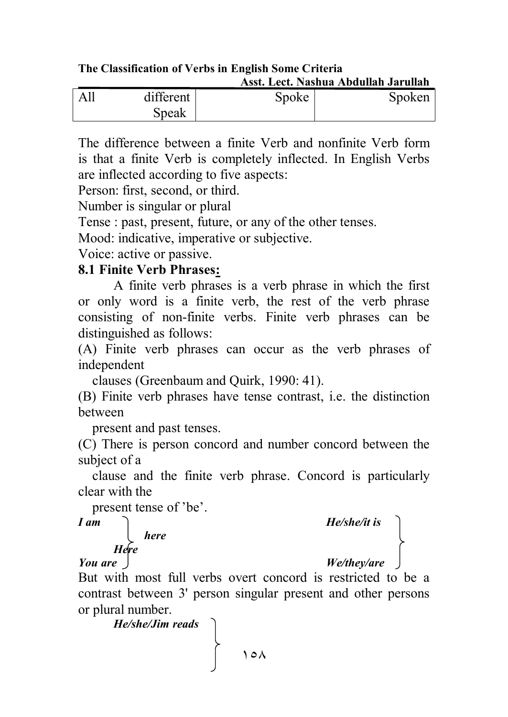**The Classification of Verbs in English Some Criteria Asst. Lect. Nashua Abdullah Jarullah** 

| All | different | Spoke | Spoken |
|-----|-----------|-------|--------|
|     | Speak     |       |        |

The difference between a finite Verb and nonfinite Verb form is that a finite Verb is completely inflected. In English Verbs are inflected according to five aspects:

Person: first, second, or third.

Number is singular or plural

Tense : past, present, future, or any of the other tenses.

Mood: indicative, imperative or subjective.

Voice: active or passive.

#### **8.1 Finite Verb Phrases:**

A finite verb phrases is a verb phrase in which the first or only word is a finite verb, the rest of the verb phrase consisting of non-finite verbs. Finite verb phrases can be distinguished as follows:

(A) Finite verb phrases can occur as the verb phrases of independent

clauses (Greenbaum and Quirk, 1990: 41).

(B) Finite verb phrases have tense contrast, i.e. the distinction between

present and past tenses.

(C) There is person concord and number concord between the subject of a

 clause and the finite verb phrase. Concord is particularly clear with the

present tense of 'be'.

#### *here Here*

# *I am*<br>*Here*<br>*Here*<br>*Here*

#### *You are*

But with most full verbs overt concord is restricted to be a contrast between 3' person singular present and other persons or plural number.

*He/she/Jim reads*

١٥٨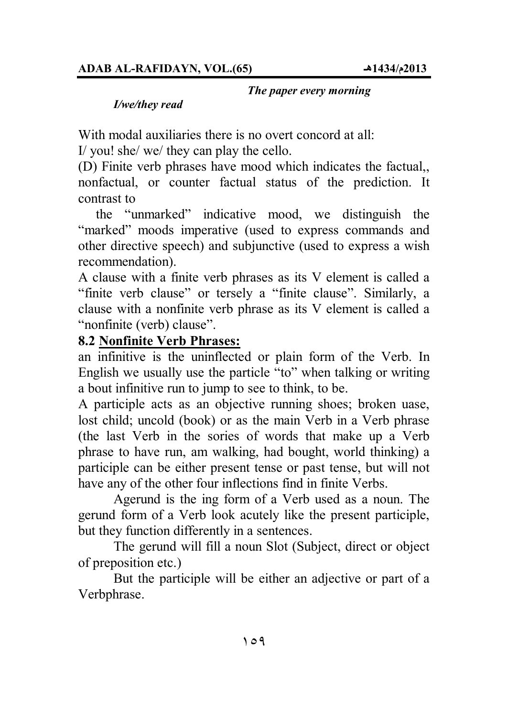#### *The paper every morning*

#### *I/we/they read*

With modal auxiliaries there is no overt concord at all:

I/ you! she/ we/ they can play the cello.

(D) Finite verb phrases have mood which indicates the factual,, nonfactual, or counter factual status of the prediction. It contrast to

 the "unmarked" indicative mood, we distinguish the "marked" moods imperative (used to express commands and other directive speech) and subjunctive (used to express a wish recommendation).

A clause with a finite verb phrases as its V element is called a "finite verb clause" or tersely a "finite clause". Similarly, a clause with a nonfinite verb phrase as its V element is called a "nonfinite (verb) clause".

#### **8.2 Nonfinite Verb Phrases:**

an infinitive is the uninflected or plain form of the Verb. In English we usually use the particle "to" when talking or writing a bout infinitive run to jump to see to think, to be.

A participle acts as an objective running shoes; broken uase, lost child; uncold (book) or as the main Verb in a Verb phrase (the last Verb in the sories of words that make up a Verb phrase to have run, am walking, had bought, world thinking) a participle can be either present tense or past tense, but will not have any of the other four inflections find in finite Verbs.

Agerund is the ing form of a Verb used as a noun. The gerund form of a Verb look acutely like the present participle, but they function differently in a sentences.

The gerund will fill a noun Slot (Subject, direct or object of preposition etc.)

But the participle will be either an adjective or part of a Verbphrase.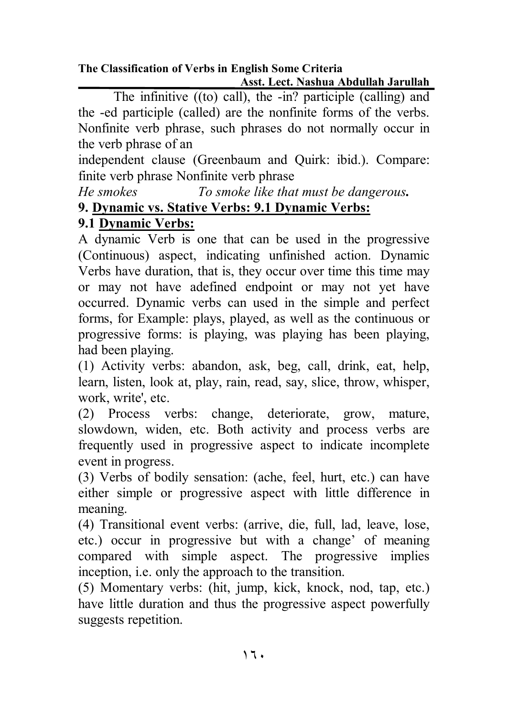The infinitive ((to) call), the -in? participle (calling) and the -ed participle (called) are the nonfinite forms of the verbs. Nonfinite verb phrase, such phrases do not normally occur in the verb phrase of an

independent clause (Greenbaum and Quirk: ibid.). Compare: finite verb phrase Nonfinite verb phrase

*He smokes To smoke like that must be dangerous.* 

## **9. Dynamic vs. Stative Verbs: 9.1 Dynamic Verbs:**

## **9.1 Dynamic Verbs:**

A dynamic Verb is one that can be used in the progressive (Continuous) aspect, indicating unfinished action. Dynamic Verbs have duration, that is, they occur over time this time may or may not have adefined endpoint or may not yet have occurred. Dynamic verbs can used in the simple and perfect forms, for Example: plays, played, as well as the continuous or progressive forms: is playing, was playing has been playing, had been playing.

(1) Activity verbs: abandon, ask, beg, call, drink, eat, help, learn, listen, look at, play, rain, read, say, slice, throw, whisper, work, write', etc.

(2) Process verbs: change, deteriorate, grow, mature, slowdown, widen, etc. Both activity and process verbs are frequently used in progressive aspect to indicate incomplete event in progress.

(3) Verbs of bodily sensation: (ache, feel, hurt, etc.) can have either simple or progressive aspect with little difference in meaning.

(4) Transitional event verbs: (arrive, die, full, lad, leave, lose, etc.) occur in progressive but with a change' of meaning compared with simple aspect. The progressive implies inception, i.e. only the approach to the transition.

(5) Momentary verbs: (hit, jump, kick, knock, nod, tap, etc.) have little duration and thus the progressive aspect powerfully suggests repetition.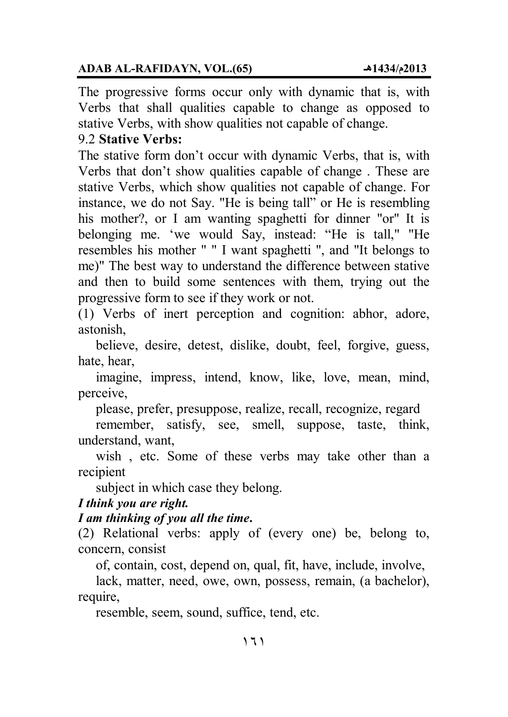#### **ADAB AL-RAFIDAYN, VOL.(65) ھـ1434/م2013**

The progressive forms occur only with dynamic that is, with Verbs that shall qualities capable to change as opposed to stative Verbs, with show qualities not capable of change.

#### 9.2 **Stative Verbs:**

The stative form don't occur with dynamic Verbs, that is, with Verbs that don't show qualities capable of change . These are stative Verbs, which show qualities not capable of change. For instance, we do not Say. "He is being tall" or He is resembling his mother?, or I am wanting spaghetti for dinner "or" It is belonging me. 'we would Say, instead: "He is tall," "He resembles his mother " " I want spaghetti ", and "It belongs to me)" The best way to understand the difference between stative and then to build some sentences with them, trying out the progressive form to see if they work or not.

(1) Verbs of inert perception and cognition: abhor, adore, astonish,

 believe, desire, detest, dislike, doubt, feel, forgive, guess, hate, hear,

 imagine, impress, intend, know, like, love, mean, mind, perceive,

please, prefer, presuppose, realize, recall, recognize, regard

 remember, satisfy, see, smell, suppose, taste, think, understand, want,

 wish , etc. Some of these verbs may take other than a recipient

subject in which case they belong.

#### *I think you are right.*

#### *I am thinking of you all the time***.**

(2) Relational verbs: apply of (every one) be, belong to, concern, consist

of, contain, cost, depend on, qual, fit, have, include, involve,

 lack, matter, need, owe, own, possess, remain, (a bachelor), require,

resemble, seem, sound, suffice, tend, etc.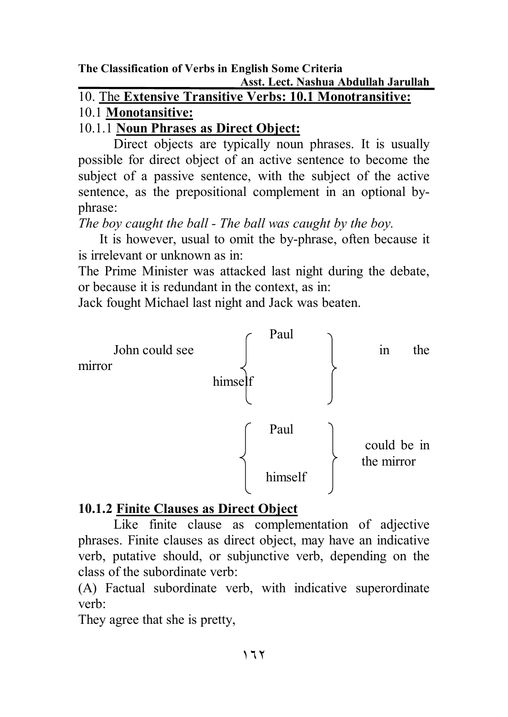10. The **Extensive Transitive Verbs: 10.1 Monotransitive:**

## 10.1 **Monotansitive:**

## 10.1.1 **Noun Phrases as Direct Object:**

Direct objects are typically noun phrases. It is usually possible for direct object of an active sentence to become the subject of a passive sentence, with the subject of the active sentence, as the prepositional complement in an optional byphrase:

*The boy caught the ball - The ball was caught by the boy.* 

 It is however, usual to omit the by-phrase, often because it is irrelevant or unknown as in:

The Prime Minister was attacked last night during the debate, or because it is redundant in the context, as in:

Jack fought Michael last night and Jack was beaten.



## **10.1.2 Finite Clauses as Direct Object**

Like finite clause as complementation of adjective phrases. Finite clauses as direct object, may have an indicative verb, putative should, or subjunctive verb, depending on the class of the subordinate verb:

(A) Factual subordinate verb, with indicative superordinate verb:

They agree that she is pretty,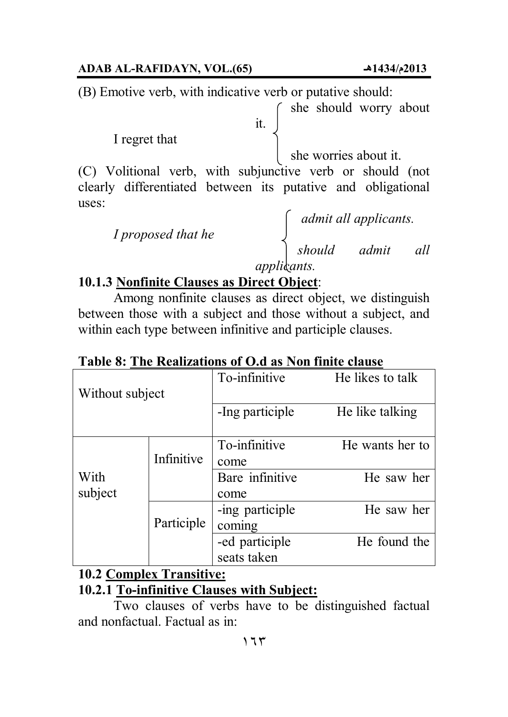#### **ADAB AL-RAFIDAYN, VOL.(65) ھـ1434/م2013**

(B) Emotive verb, with indicative verb or putative should:

she should worry about

I regret that

she worries about it.

(C) Volitional verb, with subjunctive verb or should (not clearly differentiated between its putative and obligational uses:

it.

*I proposed that he*

 *admit all applicants. should admit all applicants.* 

## **10.1.3 Nonfinite Clauses as Direct Object**:

Among nonfinite clauses as direct object, we distinguish between those with a subject and those without a subject, and within each type between infinitive and participle clauses.

To-infinitive He likes to talk Without subject -Ing participle He like talking To-infinitive He wants her to Infinitive  $\vert$  come Bare infinitive He saw her come -ing participle He saw her coming With subject Participle -ed participle He found the seats taken

**Table 8: The Realizations of O.d as Non finite clause**

## **10.2 Complex Transitive:**

## **10.2.1 To-infinitive Clauses with Subject:**

Two clauses of verbs have to be distinguished factual and nonfactual. Factual as in: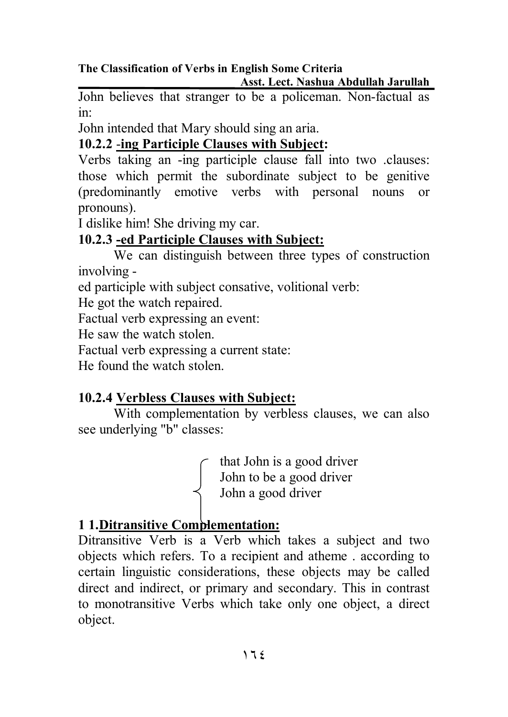**The Classification of Verbs in English Some Criteria** 

 **Asst. Lect. Nashua Abdullah Jarullah** 

John believes that stranger to be a policeman. Non-factual as in:

John intended that Mary should sing an aria.

## **10.2.2** -**ing Participle Clauses with Subject:**

Verbs taking an -ing participle clause fall into two .clauses: those which permit the subordinate subject to be genitive (predominantly emotive verbs with personal nouns or pronouns).

I dislike him! She driving my car.

## **10.2.3 -ed Participle Clauses with Subject:**

We can distinguish between three types of construction involving -

ed participle with subject consative, volitional verb:

He got the watch repaired.

Factual verb expressing an event:

He saw the watch stolen.

Factual verb expressing a current state:

He found the watch stolen.

## **10.2.4 Verbless Clauses with Subject:**

With complementation by verbless clauses, we can also see underlying "b" classes:

> that John is a good driver John to be a good driver John a good driver

## **1 1.Ditransitive Complementation:**

Ditransitive Verb is a Verb which takes a subject and two objects which refers. To a recipient and atheme . according to certain linguistic considerations, these objects may be called direct and indirect, or primary and secondary. This in contrast to monotransitive Verbs which take only one object, a direct object.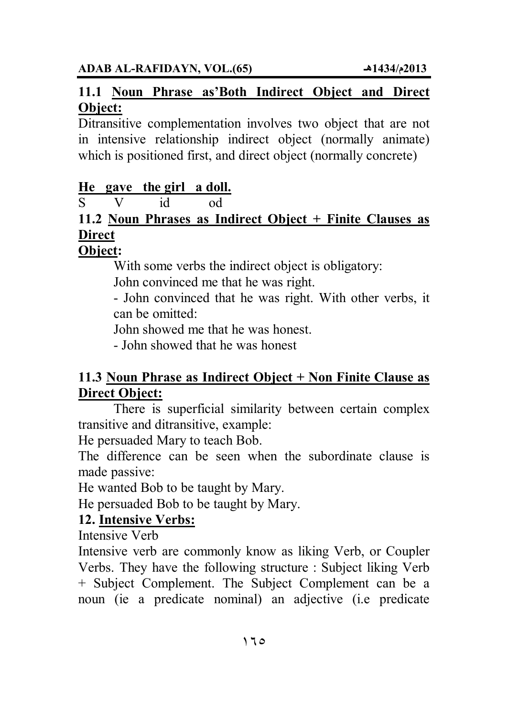### **11.1 Noun Phrase as'Both Indirect Object and Direct Object:**

Ditransitive complementation involves two object that are not in intensive relationship indirect object (normally animate) which is positioned first, and direct object (normally concrete)

## **He gave the girl a doll.**

S V id od

## **11.2 Noun Phrases as Indirect Object + Finite Clauses as Direct**

## **Object:**

With some verbs the indirect object is obligatory:

John convinced me that he was right.

- John convinced that he was right. With other verbs, it can be omitted:

John showed me that he was honest.

- John showed that he was honest

## **11.3 Noun Phrase as Indirect Object + Non Finite Clause as Direct Object:**

There is superficial similarity between certain complex transitive and ditransitive, example:

He persuaded Mary to teach Bob.

The difference can be seen when the subordinate clause is made passive:

He wanted Bob to be taught by Mary.

He persuaded Bob to be taught by Mary.

## **12. Intensive Verbs:**

Intensive Verb

Intensive verb are commonly know as liking Verb, or Coupler Verbs. They have the following structure : Subject liking Verb + Subject Complement. The Subject Complement can be a noun (ie a predicate nominal) an adjective (i.e predicate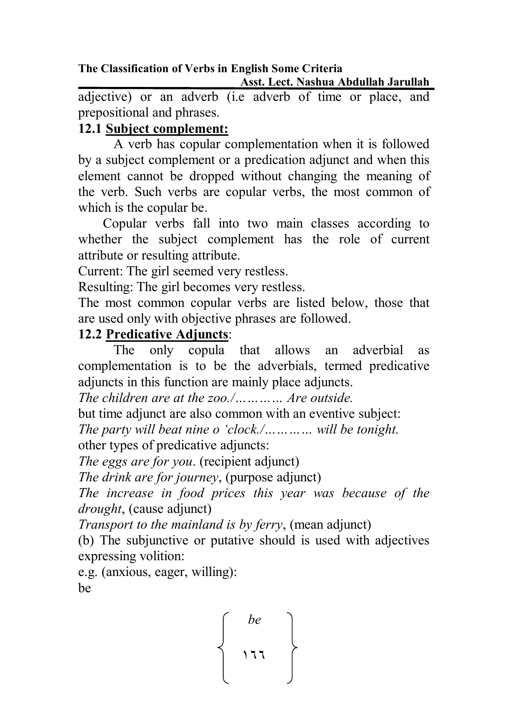**The Classification of Verbs in English Some Criteria Asst. Lect. Nashua Abdullah Jarullah** 

adjective) or an adverb (i.e adverb of time or place, and prepositional and phrases.

## **12.1 Subject complement:**

A verb has copular complementation when it is followed by a subject complement or a predication adjunct and when this element cannot be dropped without changing the meaning of the verb. Such verbs are copular verbs, the most common of which is the copular be.

 Copular verbs fall into two main classes according to whether the subject complement has the role of current attribute or resulting attribute.

Current: The girl seemed very restless.

Resulting: The girl becomes very restless.

The most common copular verbs are listed below, those that are used only with objective phrases are followed.

## **12.2 Predicative Adjuncts**:

The only copula that allows an adverbial as complementation is to be the adverbials, termed predicative adjuncts in this function are mainly place adjuncts.

*The children are at the zoo./………… Are outside.*

but time adjunct are also common with an eventive subject:

*The party will beat nine o 'clock./………… will be tonight.*

other types of predicative adjuncts:

*The eggs are for you*. (recipient adjunct)

*The drink are for journey*, (purpose adjunct)

*The increase in food prices this year was because of the drought*, (cause adjunct)

*Transport to the mainland is by ferry*, (mean adjunct)

(b) The subjunctive or putative should is used with adjectives expressing volition:

e.g. (anxious, eager, willing): be

$$
\left\{\begin{array}{c}be\\111\\111\end{array}\right\}
$$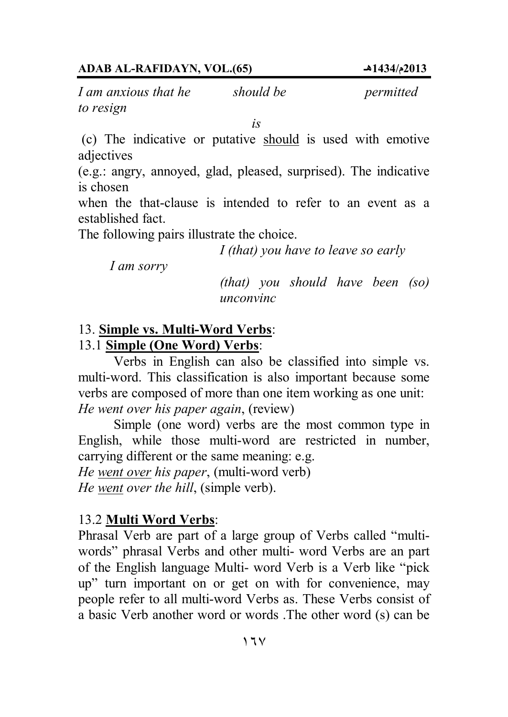*I am anxious that he* should be permitted *to resign* 

 *is*

 (c) The indicative or putative should is used with emotive adjectives

(e.g.: angry, annoyed, glad, pleased, surprised). The indicative is chosen

when the that-clause is intended to refer to an event as a established fact.

The following pairs illustrate the choice.

*I (that) you have to leave so early*

 *I am sorry*

*(that) you should have been (so) unconvinc* 

#### 13. **Simple vs. Multi-Word Verbs**:

#### 13.1 **Simple (One Word) Verbs**:

Verbs in English can also be classified into simple vs. multi-word. This classification is also important because some verbs are composed of more than one item working as one unit: *He went over his paper again*, (review)

Simple (one word) verbs are the most common type in English, while those multi-word are restricted in number, carrying different or the same meaning: e.g.

*He went over his paper*, (multi-word verb)

*He went over the hill*, (simple verb).

#### 13.2 **Multi Word Verbs**:

Phrasal Verb are part of a large group of Verbs called "multiwords" phrasal Verbs and other multi- word Verbs are an part of the English language Multi- word Verb is a Verb like "pick up" turn important on or get on with for convenience, may people refer to all multi-word Verbs as. These Verbs consist of a basic Verb another word or words .The other word (s) can be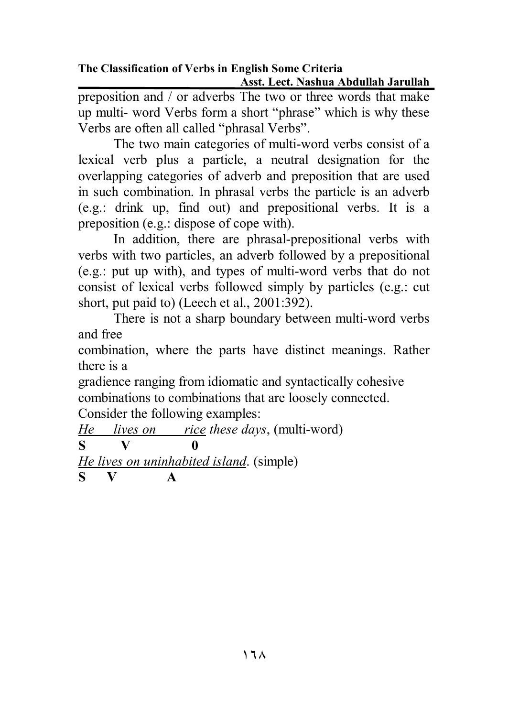**The Classification of Verbs in English Some Criteria Asst. Lect. Nashua Abdullah Jarullah** 

preposition and / or adverbs The two or three words that make up multi- word Verbs form a short "phrase" which is why these Verbs are often all called "phrasal Verbs".

 The two main categories of multi-word verbs consist of a lexical verb plus a particle, a neutral designation for the overlapping categories of adverb and preposition that are used in such combination. In phrasal verbs the particle is an adverb (e.g.: drink up, find out) and prepositional verbs. It is a preposition (e.g.: dispose of cope with).

In addition, there are phrasal-prepositional verbs with verbs with two particles, an adverb followed by a prepositional (e.g.: put up with), and types of multi-word verbs that do not consist of lexical verbs followed simply by particles (e.g.: cut short, put paid to) (Leech et al., 2001:392).

There is not a sharp boundary between multi-word verbs and free

combination, where the parts have distinct meanings. Rather there is a

gradience ranging from idiomatic and syntactically cohesive combinations to combinations that are loosely connected.

Consider the following examples:

*He lives on rice these days*, (multi-word) **S V 0**  *He lives on uninhabited island*. (simple)

**S V A**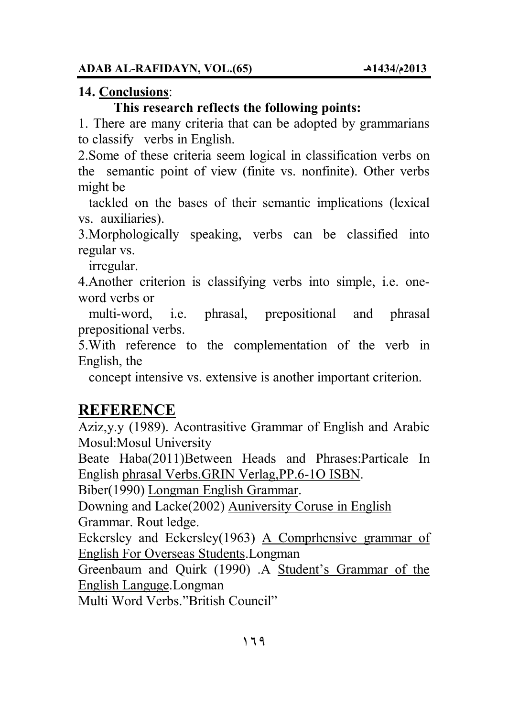#### **14. Conclusions**:

### **This research reflects the following points:**

1. There are many criteria that can be adopted by grammarians to classify verbs in English.

2.Some of these criteria seem logical in classification verbs on the semantic point of view (finite vs. nonfinite). Other verbs might be

 tackled on the bases of their semantic implications (lexical vs. auxiliaries).

3.Morphologically speaking, verbs can be classified into regular vs.

irregular.

4.Another criterion is classifying verbs into simple, i.e. oneword verbs or

 multi-word, i.e. phrasal, prepositional and phrasal prepositional verbs.

5.With reference to the complementation of the verb in English, the

concept intensive vs. extensive is another important criterion.

## **REFERENCE**

Aziz,y.y (1989). Acontrasitive Grammar of English and Arabic Mosul:Mosul University

Beate Haba(2011)Between Heads and Phrases:Particale In English phrasal Verbs.GRIN Verlag,PP.6-1O ISBN.

Biber(1990) Longman English Grammar.

Downing and Lacke(2002) Auniversity Coruse in English Grammar. Rout ledge.

Eckersley and Eckersley(1963) A Comprhensive grammar of English For Overseas Students.Longman

Greenbaum and Quirk (1990) .A Student's Grammar of the English Languge.Longman

Multi Word Verbs."British Council"